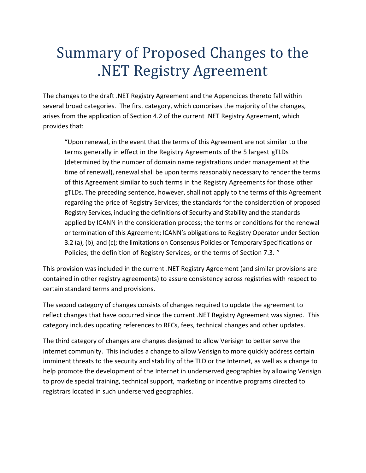## Summary of Proposed Changes to the .NET Registry Agreement

The changes to the draft .NET Registry Agreement and the Appendices thereto fall within several broad categories. The first category, which comprises the majority of the changes, arises from the application of Section 4.2 of the current .NET Registry Agreement, which provides that:

"Upon renewal, in the event that the terms of this Agreement are not similar to the terms generally in effect in the Registry Agreements of the 5 largest gTLDs (determined by the number of domain name registrations under management at the time of renewal), renewal shall be upon terms reasonably necessary to render the terms of this Agreement similar to such terms in the Registry Agreements for those other gTLDs. The preceding sentence, however, shall not apply to the terms of this Agreement regarding the price of Registry Services; the standards for the consideration of proposed Registry Services, including the definitions of Security and Stability and the standards applied by ICANN in the consideration process; the terms or conditions for the renewal or termination of this Agreement; ICANN's obligations to Registry Operator under Section 3.2 (a), (b), and (c); the limitations on Consensus Policies or Temporary Specifications or Policies; the definition of Registry Services; or the terms of Section 7.3. "

This provision was included in the current .NET Registry Agreement (and similar provisions are contained in other registry agreements) to assure consistency across registries with respect to certain standard terms and provisions.

The second category of changes consists of changes required to update the agreement to reflect changes that have occurred since the current .NET Registry Agreement was signed. This category includes updating references to RFCs, fees, technical changes and other updates.

The third category of changes are changes designed to allow Verisign to better serve the internet community. This includes a change to allow Verisign to more quickly address certain imminent threats to the security and stability of the TLD or the Internet, as well as a change to help promote the development of the Internet in underserved geographies by allowing Verisign to provide special training, technical support, marketing or incentive programs directed to registrars located in such underserved geographies.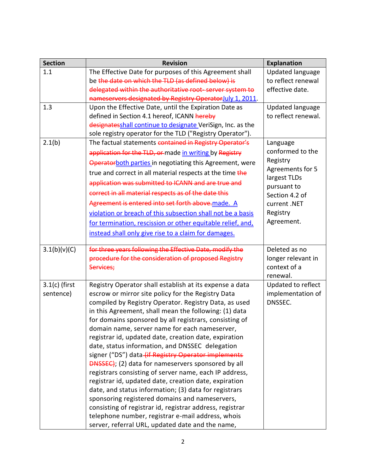| <b>Section</b>  | <b>Revision</b>                                                                                             | <b>Explanation</b>           |
|-----------------|-------------------------------------------------------------------------------------------------------------|------------------------------|
| 1.1             | The Effective Date for purposes of this Agreement shall                                                     | <b>Updated language</b>      |
|                 | be the date on which the TLD (as defined below) is                                                          | to reflect renewal           |
|                 | delegated within the authoritative root-server system to                                                    | effective date.              |
|                 | nameservers designated by Registry OperatorJuly 1, 2011.                                                    |                              |
| 1.3             | Upon the Effective Date, until the Expiration Date as                                                       | <b>Updated language</b>      |
|                 | defined in Section 4.1 hereof, ICANN hereby                                                                 | to reflect renewal.          |
|                 | designatesshall continue to designate VeriSign, Inc. as the                                                 |                              |
|                 | sole registry operator for the TLD ("Registry Operator").                                                   |                              |
| 2.1(b)          | The factual statements contained in Registry Operator's                                                     | Language<br>conformed to the |
|                 | application for the TLD, or made in writing by Registry                                                     | Registry                     |
|                 | Operatorboth parties in negotiating this Agreement, were                                                    | Agreements for 5             |
|                 | true and correct in all material respects at the time the                                                   | largest TLDs                 |
|                 | application was submitted to ICANN and are true and                                                         | pursuant to                  |
|                 | correct in all material respects as of the date this                                                        | Section 4.2 of               |
|                 | Agreement is entered into set forth above-made. A                                                           | current .NET                 |
|                 | violation or breach of this subsection shall not be a basis                                                 | Registry                     |
|                 | for termination, rescission or other equitable relief, and,                                                 | Agreement.                   |
|                 | instead shall only give rise to a claim for damages.                                                        |                              |
|                 |                                                                                                             |                              |
| 3.1(b)(v)(C)    | for three years following the Effective Date, modify the                                                    | Deleted as no                |
|                 | procedure for the consideration of proposed Registry                                                        | longer relevant in           |
|                 | Services:                                                                                                   | context of a                 |
|                 |                                                                                                             | renewal.                     |
| $3.1(c)$ (first | Registry Operator shall establish at its expense a data                                                     | Updated to reflect           |
| sentence)       | escrow or mirror site policy for the Registry Data<br>compiled by Registry Operator. Registry Data, as used | implementation of<br>DNSSEC. |
|                 | in this Agreement, shall mean the following: (1) data                                                       |                              |
|                 | for domains sponsored by all registrars, consisting of                                                      |                              |
|                 | domain name, server name for each nameserver,                                                               |                              |
|                 | registrar id, updated date, creation date, expiration                                                       |                              |
|                 | date, status information, and DNSSEC delegation                                                             |                              |
|                 | signer ("DS") data- <del>(if Registry Operator implements</del>                                             |                              |
|                 | <b>DNSSEC</b> ); (2) data for nameservers sponsored by all                                                  |                              |
|                 | registrars consisting of server name, each IP address,                                                      |                              |
|                 | registrar id, updated date, creation date, expiration                                                       |                              |
|                 | date, and status information; (3) data for registrars                                                       |                              |
|                 | sponsoring registered domains and nameservers,                                                              |                              |
|                 | consisting of registrar id, registrar address, registrar                                                    |                              |
|                 | telephone number, registrar e-mail address, whois                                                           |                              |
|                 | server, referral URL, updated date and the name,                                                            |                              |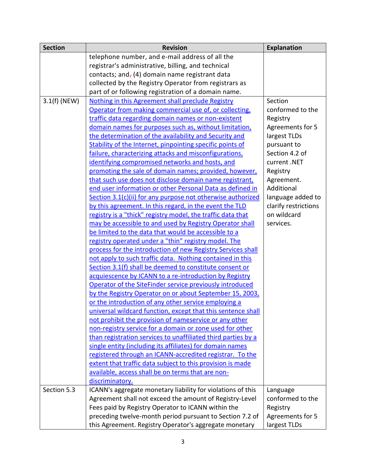| <b>Section</b> | <b>Revision</b>                                               | <b>Explanation</b>   |
|----------------|---------------------------------------------------------------|----------------------|
|                | telephone number, and e-mail address of all the               |                      |
|                | registrar's administrative, billing, and technical            |                      |
|                | contacts; and, (4) domain name registrant data                |                      |
|                | collected by the Registry Operator from registrars as         |                      |
|                | part of or following registration of a domain name.           |                      |
| $3.1(f)$ (NEW) | Nothing in this Agreement shall preclude Registry             | Section              |
|                | Operator from making commercial use of, or collecting.        | conformed to the     |
|                | traffic data regarding domain names or non-existent           | Registry             |
|                | domain names for purposes such as, without limitation,        | Agreements for 5     |
|                | the determination of the availability and Security and        | largest TLDs         |
|                | Stability of the Internet, pinpointing specific points of     | pursuant to          |
|                | failure, characterizing attacks and misconfigurations,        | Section 4.2 of       |
|                | identifying compromised networks and hosts, and               | current.NET          |
|                | promoting the sale of domain names; provided, however,        | Registry             |
|                | that such use does not disclose domain name registrant.       | Agreement.           |
|                | end user information or other Personal Data as defined in     | Additional           |
|                | Section 3.1(c)(ii) for any purpose not otherwise authorized   | language added to    |
|                | by this agreement. In this regard, in the event the TLD       | clarify restrictions |
|                | registry is a "thick" registry model, the traffic data that   | on wildcard          |
|                | may be accessible to and used by Registry Operator shall      | services.            |
|                | be limited to the data that would be accessible to a          |                      |
|                | registry operated under a "thin" registry model. The          |                      |
|                | process for the introduction of new Registry Services shall   |                      |
|                | not apply to such traffic data. Nothing contained in this     |                      |
|                | Section 3.1(f) shall be deemed to constitute consent or       |                      |
|                | acquiescence by ICANN to a re-introduction by Registry        |                      |
|                | Operator of the SiteFinder service previously introduced      |                      |
|                | by the Registry Operator on or about September 15, 2003,      |                      |
|                | or the introduction of any other service employing a          |                      |
|                | universal wildcard function, except that this sentence shall  |                      |
|                | not prohibit the provision of nameservice or any other        |                      |
|                | non-registry service for a domain or zone used for other      |                      |
|                | than registration services to unaffiliated third parties by a |                      |
|                | single entity (including its affiliates) for domain names     |                      |
|                | registered through an ICANN-accredited registrar. To the      |                      |
|                | extent that traffic data subject to this provision is made    |                      |
|                | available, access shall be on terms that are non-             |                      |
|                | discriminatory.                                               |                      |
| Section 5.3    | ICANN's aggregate monetary liability for violations of this   | Language             |
|                | Agreement shall not exceed the amount of Registry-Level       | conformed to the     |
|                | Fees paid by Registry Operator to ICANN within the            | Registry             |
|                | preceding twelve-month period pursuant to Section 7.2 of      | Agreements for 5     |
|                | this Agreement. Registry Operator's aggregate monetary        | largest TLDs         |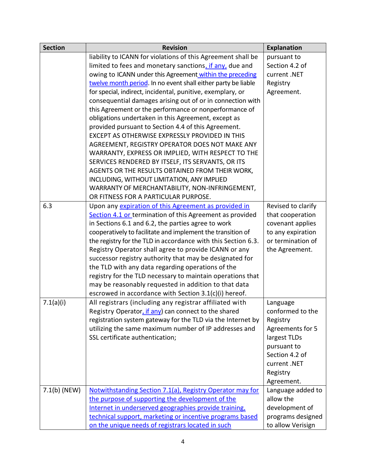| <b>Section</b> | <b>Revision</b>                                               | <b>Explanation</b> |
|----------------|---------------------------------------------------------------|--------------------|
|                | liability to ICANN for violations of this Agreement shall be  | pursuant to        |
|                | limited to fees and monetary sanctions, if any, due and       | Section 4.2 of     |
|                | owing to ICANN under this Agreement within the preceding      | current .NET       |
|                | twelve month period. In no event shall either party be liable | Registry           |
|                | for special, indirect, incidental, punitive, exemplary, or    | Agreement.         |
|                | consequential damages arising out of or in connection with    |                    |
|                | this Agreement or the performance or nonperformance of        |                    |
|                | obligations undertaken in this Agreement, except as           |                    |
|                | provided pursuant to Section 4.4 of this Agreement.           |                    |
|                | EXCEPT AS OTHERWISE EXPRESSLY PROVIDED IN THIS                |                    |
|                | AGREEMENT, REGISTRY OPERATOR DOES NOT MAKE ANY                |                    |
|                | WARRANTY, EXPRESS OR IMPLIED, WITH RESPECT TO THE             |                    |
|                | SERVICES RENDERED BY ITSELF, ITS SERVANTS, OR ITS             |                    |
|                | AGENTS OR THE RESULTS OBTAINED FROM THEIR WORK,               |                    |
|                | INCLUDING, WITHOUT LIMITATION, ANY IMPLIED                    |                    |
|                | WARRANTY OF MERCHANTABILITY, NON-INFRINGEMENT,                |                    |
|                | OR FITNESS FOR A PARTICULAR PURPOSE.                          |                    |
| 6.3            | Upon any expiration of this Agreement as provided in          | Revised to clarify |
|                | Section 4.1 or termination of this Agreement as provided      | that cooperation   |
|                | in Sections 6.1 and 6.2, the parties agree to work            | covenant applies   |
|                | cooperatively to facilitate and implement the transition of   | to any expiration  |
|                | the registry for the TLD in accordance with this Section 6.3. | or termination of  |
|                | Registry Operator shall agree to provide ICANN or any         | the Agreement.     |
|                | successor registry authority that may be designated for       |                    |
|                | the TLD with any data regarding operations of the             |                    |
|                | registry for the TLD necessary to maintain operations that    |                    |
|                | may be reasonably requested in addition to that data          |                    |
|                | escrowed in accordance with Section 3.1(c)(i) hereof.         |                    |
| 7.1(a)(i)      | All registrars (including any registrar affiliated with       | Language           |
|                | Registry Operator, if any) can connect to the shared          | conformed to the   |
|                | registration system gateway for the TLD via the Internet by   | Registry           |
|                | utilizing the same maximum number of IP addresses and         | Agreements for 5   |
|                | SSL certificate authentication;                               | largest TLDs       |
|                |                                                               | pursuant to        |
|                |                                                               | Section 4.2 of     |
|                |                                                               | current.NET        |
|                |                                                               | Registry           |
|                |                                                               | Agreement.         |
| $7.1(b)$ (NEW) | Notwithstanding Section 7.1(a), Registry Operator may for     | Language added to  |
|                | the purpose of supporting the development of the              | allow the          |
|                | Internet in underserved geographies provide training,         | development of     |
|                | technical support, marketing or incentive programs based      | programs designed  |
|                | on the unique needs of registrars located in such             | to allow Verisign  |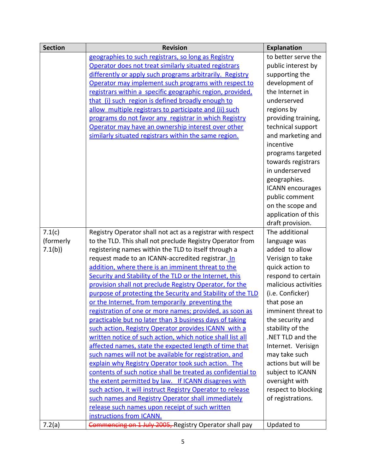| <b>Section</b> | <b>Revision</b>                                             | <b>Explanation</b>      |
|----------------|-------------------------------------------------------------|-------------------------|
|                | geographies to such registrars, so long as Registry         | to better serve the     |
|                | Operator does not treat similarly situated registrars       | public interest by      |
|                | differently or apply such programs arbitrarily. Registry    | supporting the          |
|                | Operator may implement such programs with respect to        | development of          |
|                | registrars within a specific geographic region, provided,   | the Internet in         |
|                | that (i) such region is defined broadly enough to           | underserved             |
|                | allow multiple registrars to participate and (ii) such      | regions by              |
|                | programs do not favor any registrar in which Registry       | providing training,     |
|                | Operator may have an ownership interest over other          | technical support       |
|                | similarly situated registrars within the same region.       | and marketing and       |
|                |                                                             | incentive               |
|                |                                                             | programs targeted       |
|                |                                                             | towards registrars      |
|                |                                                             | in underserved          |
|                |                                                             | geographies.            |
|                |                                                             | <b>ICANN</b> encourages |
|                |                                                             | public comment          |
|                |                                                             | on the scope and        |
|                |                                                             | application of this     |
|                |                                                             | draft provision.        |
| 7.1(c)         | Registry Operator shall not act as a registrar with respect | The additional          |
| (formerly      | to the TLD. This shall not preclude Registry Operator from  | language was            |
| 7.1(b)         | registering names within the TLD to itself through a        | added to allow          |
|                | request made to an ICANN-accredited registrar. In           | Verisign to take        |
|                | addition, where there is an imminent threat to the          | quick action to         |
|                | Security and Stability of the TLD or the Internet, this     | respond to certain      |
|                | provision shall not preclude Registry Operator, for the     | malicious activities    |
|                | purpose of protecting the Security and Stability of the TLD | (i.e. Conficker)        |
|                | or the Internet, from temporarily preventing the            | that pose an            |
|                | registration of one or more names; provided, as soon as     | imminent threat to      |
|                | practicable but no later than 3 business days of taking     | the security and        |
|                | such action, Registry Operator provides ICANN with a        | stability of the        |
|                | written notice of such action, which notice shall list all  | .NET TLD and the        |
|                | affected names, state the expected length of time that      | Internet. Verisign      |
|                | such names will not be available for registration, and      | may take such           |
|                | explain why Registry Operator took such action. The         | actions but will be     |
|                | contents of such notice shall be treated as confidential to | subject to ICANN        |
|                | the extent permitted by law. If ICANN disagrees with        | oversight with          |
|                | such action, it will instruct Registry Operator to release  | respect to blocking     |
|                | such names and Registry Operator shall immediately          | of registrations.       |
|                | release such names upon receipt of such written             |                         |
|                | instructions from ICANN.                                    |                         |
| 7.2(a)         | Commencing on 1 July 2005, Registry Operator shall pay      | Updated to              |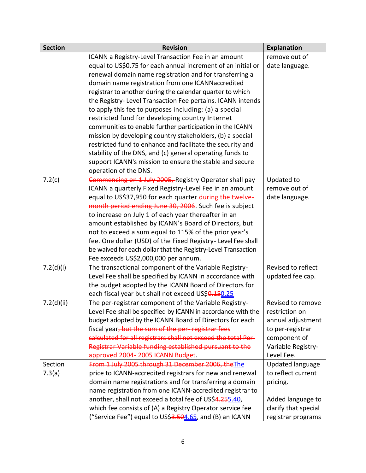| <b>Section</b> | <b>Revision</b>                                                      | <b>Explanation</b>      |
|----------------|----------------------------------------------------------------------|-------------------------|
|                | ICANN a Registry-Level Transaction Fee in an amount                  | remove out of           |
|                | equal to US\$0.75 for each annual increment of an initial or         | date language.          |
|                | renewal domain name registration and for transferring a              |                         |
|                | domain name registration from one ICANNaccredited                    |                         |
|                | registrar to another during the calendar quarter to which            |                         |
|                | the Registry- Level Transaction Fee pertains. ICANN intends          |                         |
|                | to apply this fee to purposes including: (a) a special               |                         |
|                | restricted fund for developing country Internet                      |                         |
|                | communities to enable further participation in the ICANN             |                         |
|                | mission by developing country stakeholders, (b) a special            |                         |
|                | restricted fund to enhance and facilitate the security and           |                         |
|                | stability of the DNS, and (c) general operating funds to             |                         |
|                | support ICANN's mission to ensure the stable and secure              |                         |
|                | operation of the DNS.                                                |                         |
| 7.2(c)         | Commencing on 1 July 2005, Registry Operator shall pay               | Updated to              |
|                | ICANN a quarterly Fixed Registry-Level Fee in an amount              | remove out of           |
|                | equal to US\$37,950 for each quarter-during the twelve-              | date language.          |
|                | month period ending June 30, 2006. Such fee is subject               |                         |
|                | to increase on July 1 of each year thereafter in an                  |                         |
|                | amount established by ICANN's Board of Directors, but                |                         |
|                | not to exceed a sum equal to 115% of the prior year's                |                         |
|                | fee. One dollar (USD) of the Fixed Registry- Level Fee shall         |                         |
|                | be waived for each dollar that the Registry-Level Transaction        |                         |
|                | Fee exceeds US\$2,000,000 per annum.                                 |                         |
| 7.2(d)(i)      | The transactional component of the Variable Registry-                | Revised to reflect      |
|                | Level Fee shall be specified by ICANN in accordance with             | updated fee cap.        |
|                | the budget adopted by the ICANN Board of Directors for               |                         |
|                | each fiscal year but shall not exceed US\$0.150.25                   |                         |
| 7.2(d)(ii)     | The per-registrar component of the Variable Registry-                | Revised to remove       |
|                | Level Fee shall be specified by ICANN in accordance with the         | restriction on          |
|                | budget adopted by the ICANN Board of Directors for each              | annual adjustment       |
|                | fiscal year, but the sum of the per-registrar fees                   | to per-registrar        |
|                | calculated for all registrars shall not exceed the total Per-        | component of            |
|                | Registrar Variable funding established pursuant to the               | Variable Registry-      |
|                | approved 2004-2005 ICANN Budget.                                     | Level Fee.              |
| Section        | From 1 July 2005 through 31 December 2006, the The                   | <b>Updated language</b> |
| 7.3(a)         | price to ICANN-accredited registrars for new and renewal             | to reflect current      |
|                | domain name registrations and for transferring a domain              | pricing.                |
|                | name registration from one ICANN-accredited registrar to             |                         |
|                | another, shall not exceed a total fee of US\$4.255.40,               | Added language to       |
|                | which fee consists of (A) a Registry Operator service fee            | clarify that special    |
|                | ("Service Fee") equal to US\$ <del>3.504.65</del> , and (B) an ICANN | registrar programs      |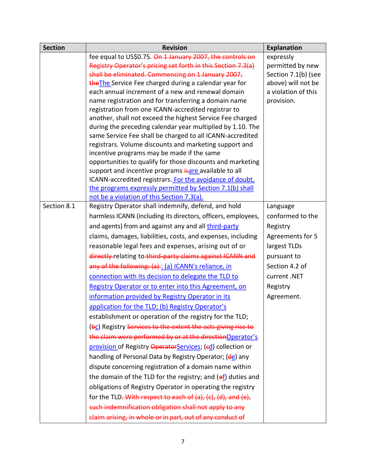| <b>Section</b> | <b>Revision</b>                                                                                                  | <b>Explanation</b>  |
|----------------|------------------------------------------------------------------------------------------------------------------|---------------------|
|                | fee equal to US\$0.75. On 1 January 2007, the controls on                                                        | expressly           |
|                | Registry Operator's pricing set forth in this Section 7.3(a)                                                     | permitted by new    |
|                | shall be eliminated. Commencing on 1 January 2007,                                                               | Section 7.1(b) (see |
|                | the The Service Fee charged during a calendar year for                                                           | above) will not be  |
|                | each annual increment of a new and renewal domain                                                                | a violation of this |
|                | name registration and for transferring a domain name                                                             | provision.          |
|                | registration from one ICANN-accredited registrar to<br>another, shall not exceed the highest Service Fee charged |                     |
|                | during the preceding calendar year multiplied by 1.10. The                                                       |                     |
|                | same Service Fee shall be charged to all ICANN-accredited                                                        |                     |
|                | registrars. Volume discounts and marketing support and                                                           |                     |
|                | incentive programs may be made if the same                                                                       |                     |
|                | opportunities to qualify for those discounts and marketing                                                       |                     |
|                | support and incentive programs isare available to all                                                            |                     |
|                | ICANN-accredited registrars. For the avoidance of doubt,                                                         |                     |
|                | the programs expressly permitted by Section 7.1(b) shall                                                         |                     |
| Section 8.1    | not be a violation of this Section 7.3(a).<br>Registry Operator shall indemnify, defend, and hold                | Language            |
|                | harmless ICANN (including its directors, officers, employees,                                                    | conformed to the    |
|                |                                                                                                                  |                     |
|                | and agents) from and against any and all third-party                                                             | Registry            |
|                | claims, damages, liabilities, costs, and expenses, including                                                     | Agreements for 5    |
|                | reasonable legal fees and expenses, arising out of or                                                            | largest TLDs        |
|                | directly-relating to-third-party claims against ICANN and                                                        | pursuant to         |
|                | any of the following: (a) : (a) ICANN's reliance, in                                                             | Section 4.2 of      |
|                | connection with its decision to delegate the TLD to                                                              | current.NET         |
|                | Registry Operator or to enter into this Agreement, on                                                            | Registry            |
|                | information provided by Registry Operator in its                                                                 | Agreement.          |
|                | application for the TLD; (b) Registry Operator's                                                                 |                     |
|                | establishment or operation of the registry for the TLD;                                                          |                     |
|                | (bc) Registry Services to the extent the acts giving rise to                                                     |                     |
|                | the claim were performed by or at the direction Operator's                                                       |                     |
|                | provision of Registry Operator Services; (ed) collection or                                                      |                     |
|                | handling of Personal Data by Registry Operator; (de) any                                                         |                     |
|                | dispute concerning registration of a domain name within                                                          |                     |
|                | the domain of the TLD for the registry; and $(ef)$ duties and                                                    |                     |
|                | obligations of Registry Operator in operating the registry                                                       |                     |
|                | for the TLD. With respect to each of (a), (c), (d), and (e),                                                     |                     |
|                | such indemnification obligation shall not apply to any                                                           |                     |
|                | claim arising, in whole or in part, out of any conduct of                                                        |                     |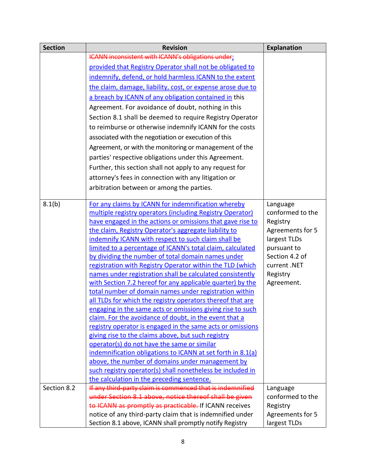| <b>Section</b> | <b>Revision</b>                                             | <b>Explanation</b> |
|----------------|-------------------------------------------------------------|--------------------|
|                | ICANN inconsistent with ICANN's obligations under;          |                    |
|                | provided that Registry Operator shall not be obligated to   |                    |
|                | indemnify, defend, or hold harmless ICANN to the extent     |                    |
|                | the claim, damage, liability, cost, or expense arose due to |                    |
|                | a breach by ICANN of any obligation contained in this       |                    |
|                | Agreement. For avoidance of doubt, nothing in this          |                    |
|                | Section 8.1 shall be deemed to require Registry Operator    |                    |
|                | to reimburse or otherwise indemnify ICANN for the costs     |                    |
|                | associated with the negotiation or execution of this        |                    |
|                | Agreement, or with the monitoring or management of the      |                    |
|                | parties' respective obligations under this Agreement.       |                    |
|                | Further, this section shall not apply to any request for    |                    |
|                | attorney's fees in connection with any litigation or        |                    |
|                | arbitration between or among the parties.                   |                    |
|                |                                                             |                    |
| 8.1(b)         | For any claims by ICANN for indemnification whereby         | Language           |
|                | multiple registry operators (including Registry Operator)   | conformed to the   |
|                | have engaged in the actions or omissions that gave rise to  | Registry           |
|                | the claim, Registry Operator's aggregate liability to       | Agreements for 5   |
|                | indemnify ICANN with respect to such claim shall be         | largest TLDs       |
|                | limited to a percentage of ICANN's total claim, calculated  | pursuant to        |
|                | by dividing the number of total domain names under          | Section 4.2 of     |
|                | registration with Registry Operator within the TLD (which   | current .NET       |
|                | names under registration shall be calculated consistently   | Registry           |
|                | with Section 7.2 hereof for any applicable quarter) by the  | Agreement.         |
|                | total number of domain names under registration within      |                    |
|                | all TLDs for which the registry operators thereof that are  |                    |
|                | engaging in the same acts or omissions giving rise to such  |                    |
|                | claim. For the avoidance of doubt, in the event that a      |                    |
|                | registry operator is engaged in the same acts or omissions  |                    |
|                | giving rise to the claims above, but such registry          |                    |
|                | operator(s) do not have the same or similar                 |                    |
|                | indemnification obligations to ICANN at set forth in 8.1(a) |                    |
|                | above, the number of domains under management by            |                    |
|                | such registry operator(s) shall nonetheless be included in  |                    |
|                | the calculation in the preceding sentence.                  |                    |
| Section 8.2    | If any third-party claim is commenced that is indemnified   | Language           |
|                | under Section 8.1 above, notice thereof shall be given      | conformed to the   |
|                | to ICANN as promptly as practicable. If ICANN receives      | Registry           |
|                | notice of any third-party claim that is indemnified under   | Agreements for 5   |
|                | Section 8.1 above, ICANN shall promptly notify Registry     | largest TLDs       |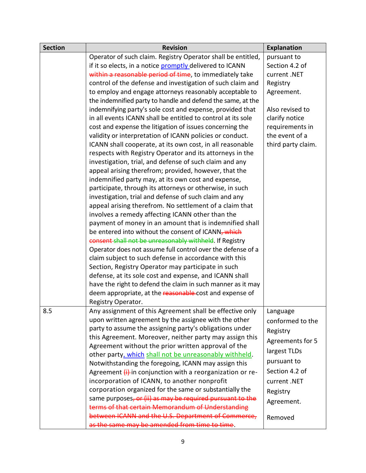| <b>Section</b> | <b>Revision</b>                                                                                             | <b>Explanation</b> |
|----------------|-------------------------------------------------------------------------------------------------------------|--------------------|
|                | Operator of such claim. Registry Operator shall be entitled,                                                | pursuant to        |
|                | if it so elects, in a notice <b>promptly</b> delivered to ICANN                                             | Section 4.2 of     |
|                | within a reasonable period of time, to immediately take                                                     | current.NET        |
|                | control of the defense and investigation of such claim and                                                  | Registry           |
|                | to employ and engage attorneys reasonably acceptable to                                                     | Agreement.         |
|                | the indemnified party to handle and defend the same, at the                                                 |                    |
|                | indemnifying party's sole cost and expense, provided that                                                   | Also revised to    |
|                | in all events ICANN shall be entitled to control at its sole                                                | clarify notice     |
|                | cost and expense the litigation of issues concerning the                                                    | requirements in    |
|                | validity or interpretation of ICANN policies or conduct.                                                    | the event of a     |
|                | ICANN shall cooperate, at its own cost, in all reasonable                                                   | third party claim. |
|                | respects with Registry Operator and its attorneys in the                                                    |                    |
|                | investigation, trial, and defense of such claim and any                                                     |                    |
|                | appeal arising therefrom; provided, however, that the                                                       |                    |
|                | indemnified party may, at its own cost and expense,                                                         |                    |
|                | participate, through its attorneys or otherwise, in such                                                    |                    |
|                | investigation, trial and defense of such claim and any                                                      |                    |
|                | appeal arising therefrom. No settlement of a claim that                                                     |                    |
|                | involves a remedy affecting ICANN other than the                                                            |                    |
|                | payment of money in an amount that is indemnified shall                                                     |                    |
|                | be entered into without the consent of ICANN <del>, which</del>                                             |                    |
|                | consent-shall not be unreasonably withheld. If Registry                                                     |                    |
|                | Operator does not assume full control over the defense of a                                                 |                    |
|                | claim subject to such defense in accordance with this<br>Section, Registry Operator may participate in such |                    |
|                | defense, at its sole cost and expense, and ICANN shall                                                      |                    |
|                | have the right to defend the claim in such manner as it may                                                 |                    |
|                | deem appropriate, at the reasonable cost and expense of                                                     |                    |
|                | Registry Operator.                                                                                          |                    |
| 8.5            | Any assignment of this Agreement shall be effective only                                                    | Language           |
|                | upon written agreement by the assignee with the other                                                       | conformed to the   |
|                | party to assume the assigning party's obligations under                                                     | Registry           |
|                | this Agreement. Moreover, neither party may assign this                                                     | Agreements for 5   |
|                | Agreement without the prior written approval of the                                                         | largest TLDs       |
|                | other party, which shall not be unreasonably withheld.                                                      | pursuant to        |
|                | Notwithstanding the foregoing, ICANN may assign this                                                        |                    |
|                | Agreement (i) in conjunction with a reorganization or re-                                                   | Section 4.2 of     |
|                | incorporation of ICANN, to another nonprofit<br>corporation organized for the same or substantially the     | current.NET        |
|                | same purposes, or (ii) as may be required pursuant to the                                                   | Registry           |
|                | terms of that certain Memorandum of Understanding                                                           | Agreement.         |
|                | between ICANN and the U.S. Department of Commerce,                                                          | Removed            |
|                | as the same may be amended from time to time.                                                               |                    |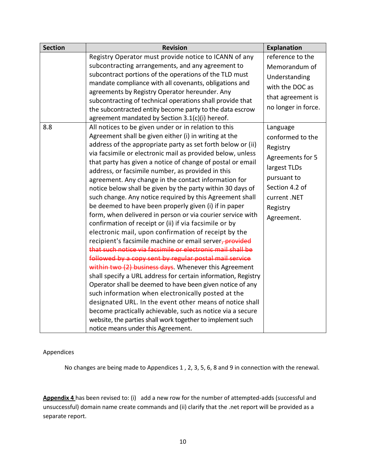| <b>Section</b> | <b>Revision</b>                                                                                                                                                                                                                                                                                                                                                                                                                                                                                                                                                                                                                                                                                                                                                                                                                                                                                                                                                                                                                                                                                                                                                                                                                                                                                                                                                                                                                                        | <b>Explanation</b>                                                                                                                                      |
|----------------|--------------------------------------------------------------------------------------------------------------------------------------------------------------------------------------------------------------------------------------------------------------------------------------------------------------------------------------------------------------------------------------------------------------------------------------------------------------------------------------------------------------------------------------------------------------------------------------------------------------------------------------------------------------------------------------------------------------------------------------------------------------------------------------------------------------------------------------------------------------------------------------------------------------------------------------------------------------------------------------------------------------------------------------------------------------------------------------------------------------------------------------------------------------------------------------------------------------------------------------------------------------------------------------------------------------------------------------------------------------------------------------------------------------------------------------------------------|---------------------------------------------------------------------------------------------------------------------------------------------------------|
|                | Registry Operator must provide notice to ICANN of any<br>subcontracting arrangements, and any agreement to<br>subcontract portions of the operations of the TLD must<br>mandate compliance with all covenants, obligations and<br>agreements by Registry Operator hereunder. Any<br>subcontracting of technical operations shall provide that<br>the subcontracted entity become party to the data escrow<br>agreement mandated by Section 3.1(c)(i) hereof.                                                                                                                                                                                                                                                                                                                                                                                                                                                                                                                                                                                                                                                                                                                                                                                                                                                                                                                                                                                           | reference to the<br>Memorandum of<br>Understanding<br>with the DOC as<br>that agreement is<br>no longer in force.                                       |
| 8.8            | All notices to be given under or in relation to this<br>Agreement shall be given either (i) in writing at the<br>address of the appropriate party as set forth below or (ii)<br>via facsimile or electronic mail as provided below, unless<br>that party has given a notice of change of postal or email<br>address, or facsimile number, as provided in this<br>agreement. Any change in the contact information for<br>notice below shall be given by the party within 30 days of<br>such change. Any notice required by this Agreement shall<br>be deemed to have been properly given (i) if in paper<br>form, when delivered in person or via courier service with<br>confirmation of receipt or (ii) if via facsimile or by<br>electronic mail, upon confirmation of receipt by the<br>recipient's facsimile machine or email server, provided<br>that such notice via facsimile or electronic mail shall be<br>followed by a copy sent by regular postal mail service<br>within two (2) business days. Whenever this Agreement<br>shall specify a URL address for certain information, Registry<br>Operator shall be deemed to have been given notice of any<br>such information when electronically posted at the<br>designated URL. In the event other means of notice shall<br>become practically achievable, such as notice via a secure<br>website, the parties shall work together to implement such<br>notice means under this Agreement. | Language<br>conformed to the<br>Registry<br>Agreements for 5<br>largest TLDs<br>pursuant to<br>Section 4.2 of<br>current .NET<br>Registry<br>Agreement. |

Appendices

No changes are being made to Appendices 1 , 2, 3, 5, 6, 8 and 9 in connection with the renewal.

**Appendix 4** has been revised to: (i) add a new row for the number of attempted-adds (successful and unsuccessful) domain name create commands and (ii) clarify that the .net report will be provided as a separate report.